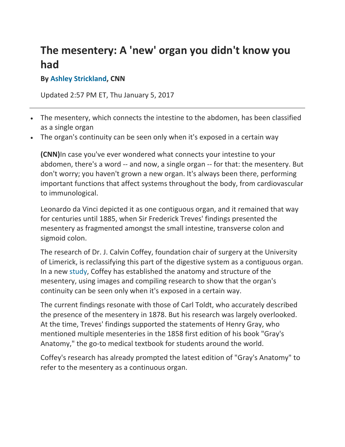## **The mesentery: A 'new' organ you didn't know you had**

## **By Ashley Strickland, CNN**

Updated 2:57 PM ET, Thu January 5, 2017

- The mesentery, which connects the intestine to the abdomen, has been classified as a single organ
- The organ's continuity can be seen only when it's exposed in a certain way

**(CNN)**In case you've ever wondered what connects your intestine to your abdomen, there's a word ‐‐ and now, a single organ ‐‐ for that: the mesentery. But don't worry; you haven't grown a new organ. It's always been there, performing important functions that affect systems throughout the body, from cardiovascular to immunological.

Leonardo da Vinci depicted it as one contiguous organ, and it remained that way for centuries until 1885, when Sir Frederick Treves' findings presented the mesentery as fragmented amongst the small intestine, transverse colon and sigmoid colon.

The research of Dr. J. Calvin Coffey, foundation chair of surgery at the University of Limerick, is reclassifying this part of the digestive system as a contiguous organ. In a new study, Coffey has established the anatomy and structure of the mesentery, using images and compiling research to show that the organ's continuity can be seen only when it's exposed in a certain way.

The current findings resonate with those of Carl Toldt, who accurately described the presence of the mesentery in 1878. But his research was largely overlooked. At the time, Treves' findings supported the statements of Henry Gray, who mentioned multiple mesenteries in the 1858 first edition of his book "Gray's Anatomy," the go-to medical textbook for students around the world.

Coffey's research has already prompted the latest edition of "Gray's Anatomy" to refer to the mesentery as a continuous organ.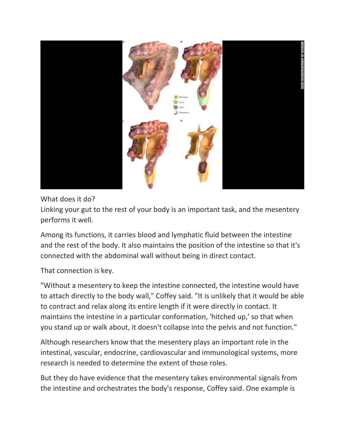

What does it do?

Linking your gut to the rest of your body is an important task, and the mesentery performs it well.

Among its functions, it carries blood and lymphatic fluid between the intestine and the rest of the body. It also maintains the position of the intestine so that it's connected with the abdominal wall without being in direct contact.

That connection is key.

"Without a mesentery to keep the intestine connected, the intestine would have to attach directly to the body wall," Coffey said. "It is unlikely that it would be able to contract and relax along its entire length if it were directly in contact. It maintains the intestine in a particular conformation, 'hitched up,' so that when you stand up or walk about, it doesn't collapse into the pelvis and not function."

Although researchers know that the mesentery plays an important role in the intestinal, vascular, endocrine, cardiovascular and immunological systems, more research is needed to determine the extent of those roles.

But they do have evidence that the mesentery takes environmental signals from the intestine and orchestrates the body's response, Coffey said. One example is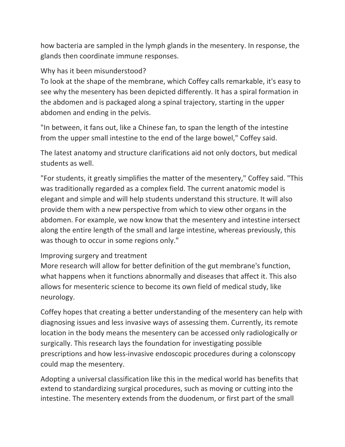how bacteria are sampled in the lymph glands in the mesentery. In response, the glands then coordinate immune responses.

## Why has it been misunderstood?

To look at the shape of the membrane, which Coffey calls remarkable, it's easy to see why the mesentery has been depicted differently. It has a spiral formation in the abdomen and is packaged along a spinal trajectory, starting in the upper abdomen and ending in the pelvis.

"In between, it fans out, like a Chinese fan, to span the length of the intestine from the upper small intestine to the end of the large bowel," Coffey said.

The latest anatomy and structure clarifications aid not only doctors, but medical students as well.

"For students, it greatly simplifies the matter of the mesentery," Coffey said. "This was traditionally regarded as a complex field. The current anatomic model is elegant and simple and will help students understand this structure. It will also provide them with a new perspective from which to view other organs in the abdomen. For example, we now know that the mesentery and intestine intersect along the entire length of the small and large intestine, whereas previously, this was though to occur in some regions only."

## Improving surgery and treatment

More research will allow for better definition of the gut membrane's function, what happens when it functions abnormally and diseases that affect it. This also allows for mesenteric science to become its own field of medical study, like neurology.

Coffey hopes that creating a better understanding of the mesentery can help with diagnosing issues and less invasive ways of assessing them. Currently, its remote location in the body means the mesentery can be accessed only radiologically or surgically. This research lays the foundation for investigating possible prescriptions and how less‐invasive endoscopic procedures during a colonscopy could map the mesentery.

Adopting a universal classification like this in the medical world has benefits that extend to standardizing surgical procedures, such as moving or cutting into the intestine. The mesentery extends from the duodenum, or first part of the small